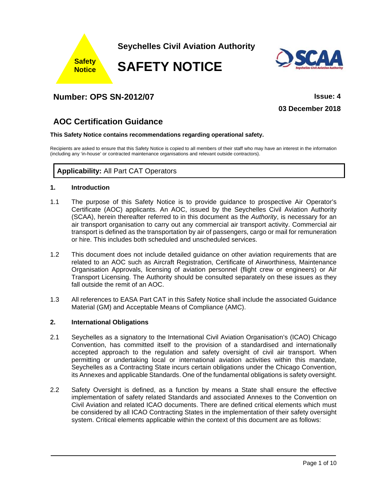

# **Number: OPS SN-2012/07 Issue: 4**

**03 December 2018**

# **AOC Certification Guidance**

#### **This Safety Notice contains recommendations regarding operational safety.**

Recipients are asked to ensure that this Safety Notice is copied to all members of their staff who may have an interest in the information (including any 'in-house' or contracted maintenance organisations and relevant outside contractors).

## **Applicability:** All Part CAT Operators

## **1. Introduction**

- 1.1 The purpose of this Safety Notice is to provide guidance to prospective Air Operator's Certificate (AOC) applicants. An AOC, issued by the Seychelles Civil Aviation Authority (SCAA), herein thereafter referred to in this document as the *Authority*, is necessary for an air transport organisation to carry out any commercial air transport activity. Commercial air transport is defined as the transportation by air of passengers, cargo or mail for remuneration or hire. This includes both scheduled and unscheduled services.
- 1.2 This document does not include detailed guidance on other aviation requirements that are related to an AOC such as Aircraft Registration, Certificate of Airworthiness, Maintenance Organisation Approvals, licensing of aviation personnel (flight crew or engineers) or Air Transport Licensing. The Authority should be consulted separately on these issues as they fall outside the remit of an AOC.
- 1.3 All references to EASA Part CAT in this Safety Notice shall include the associated Guidance Material (GM) and Acceptable Means of Compliance (AMC).

#### **2. International Obligations**

- 2.1 Seychelles as a signatory to the International Civil Aviation Organisation's (ICAO) Chicago Convention, has committed itself to the provision of a standardised and internationally accepted approach to the regulation and safety oversight of civil air transport. When permitting or undertaking local or international aviation activities within this mandate, Seychelles as a Contracting State incurs certain obligations under the Chicago Convention, its Annexes and applicable Standards. One of the fundamental obligations is safety oversight.
- 2.2 Safety Oversight is defined, as a function by means a State shall ensure the effective implementation of safety related Standards and associated Annexes to the Convention on Civil Aviation and related ICAO documents. There are defined critical elements which must be considered by all ICAO Contracting States in the implementation of their safety oversight system. Critical elements applicable within the context of this document are as follows: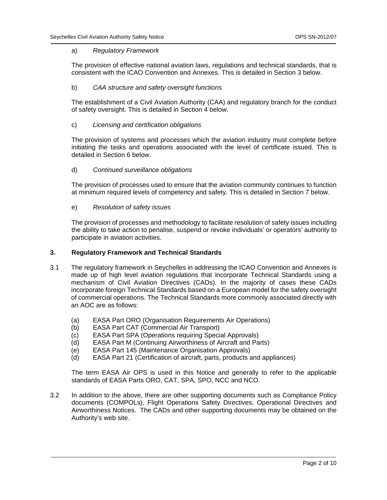#### a) *Regulatory Framework*

The provision of effective national aviation laws, regulations and technical standards, that is consistent with the ICAO Convention and Annexes. This is detailed in Section 3 below.

#### b) *CAA structure and safety oversight functions*

The establishment of a Civil Aviation Authority (CAA) and regulatory branch for the conduct of safety oversight. This is detailed in Section 4 below.

c) *Licensing and certification obligations* 

The provision of systems and processes which the aviation industry must complete before initiating the tasks and operations associated with the level of certificate issued. This is detailed in Section 6 below.

d) *Continued surveillance obligations* 

The provision of processes used to ensure that the aviation community continues to function at minimum required levels of competency and safety. This is detailed in Section 7 below.

e) *Resolution of safety issues*

The provision of processes and methodology to facilitate resolution of safety issues including the ability to take action to penalise, suspend or revoke individuals' or operators' authority to participate in aviation activities.

#### **3. Regulatory Framework and Technical Standards**

- 3.1 The regulatory framework in Seychelles in addressing the ICAO Convention and Annexes is made up of high level aviation regulations that incorporate Technical Standards using a mechanism of Civil Aviation Directives (CADs). In the majority of cases these CADs incorporate foreign Technical Standards based on a European model for the safety oversight of commercial operations. The Technical Standards more commonly associated directly with an AOC are as follows:
	- (a) EASA Part ORO (Organisation Requirements Air Operations)
	- (b) EASA Part CAT (Commercial Air Transport)

l

- (c) EASA Part SPA (Operations requiring Special Approvals)
- (d) EASA Part M (Continuing Airworthiness of Aircraft and Parts)
- (e) EASA Part 145 (Maintenance Organisation Approvals)
- (d) EASA Part 21 (Certification of aircraft, parts, products and appliances)

 The term EASA Air OPS is used in this Notice and generally to refer to the applicable standards of EASA Parts ORO, CAT, SPA, SPO, NCC and NCO.

3.2 In addition to the above, there are other supporting documents such as Compliance Policy documents (COMPOLs), Flight Operations Safety Directives, Operational Directives and Airworthiness Notices. The CADs and other supporting documents may be obtained on the Authority's web site.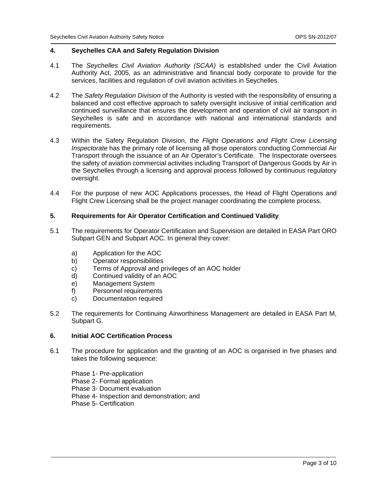#### **4. Seychelles CAA and Safety Regulation Division**

- 4.1 The *Seychelles Civil Aviation Authority (SCAA)* is established under the Civil Aviation Authority Act, 2005, as an administrative and financial body corporate to provide for the services, facilities and regulation of civil aviation activities in Seychelles.
- 4.2 The *Safety Regulation Division* of the Authority is vested with the responsibility of ensuring a balanced and cost effective approach to safety oversight inclusive of initial certification and continued surveillance that ensures the development and operation of civil air transport in Seychelles is safe and in accordance with national and international standards and requirements.
- 4.3 Within the Safety Regulation Division, the *Flight Operations and Flight Crew Licensing Inspectorate* has the primary role of licensing all those operators conducting Commercial Air Transport through the issuance of an Air Operator's Certificate. The Inspectorate oversees the safety of aviation commercial activities including Transport of Dangerous Goods by Air in the Seychelles through a licensing and approval process followed by continuous regulatory oversight.
- 4.4 For the purpose of new AOC Applications processes, the Head of Flight Operations and Flight Crew Licensing shall be the project manager coordinating the complete process.

#### **5. Requirements for Air Operator Certification and Continued Validity**

- 5.1 The requirements for Operator Certification and Supervision are detailed in EASA Part ORO Subpart GEN and Subpart AOC. In general they cover:
	- a) Application for the AOC
	- b) Operator responsibilities
	- c) Terms of Approval and privileges of an AOC holder
	- d) Continued validity of an AOC
	- e) Management System
	- f) Personnel requirements
	- c) Documentation required
- 5.2 The requirements for Continuing Airworthiness Management are detailed in EASA Part M, Subpart G.

#### **6. Initial AOC Certification Process**

6.1 The procedure for application and the granting of an AOC is organised in five phases and takes the following sequence:

 Phase 1- Pre-application Phase 2- Formal application Phase 3- Document evaluation Phase 4- Inspection and demonstration; and Phase 5- Certification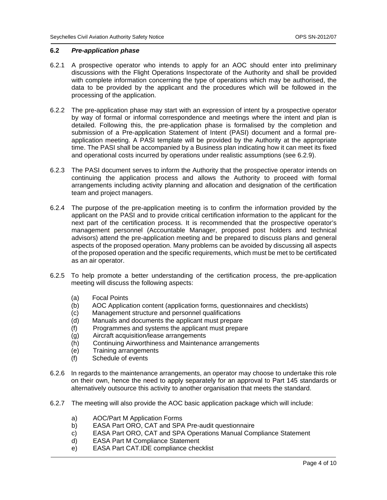#### **6.2** *Pre-application phase*

- 6.2.1 A prospective operator who intends to apply for an AOC should enter into preliminary discussions with the Flight Operations Inspectorate of the Authority and shall be provided with complete information concerning the type of operations which may be authorised, the data to be provided by the applicant and the procedures which will be followed in the processing of the application.
- 6.2.2 The pre-application phase may start with an expression of intent by a prospective operator by way of formal or informal correspondence and meetings where the intent and plan is detailed. Following this, the pre-application phase is formalised by the completion and submission of a Pre-application Statement of Intent (PASI) document and a formal preapplication meeting. A PASI template will be provided by the Authority at the appropriate time. The PASI shall be accompanied by a Business plan indicating how it can meet its fixed and operational costs incurred by operations under realistic assumptions (see 6.2.9).
- 6.2.3 The PASI document serves to inform the Authority that the prospective operator intends on continuing the application process and allows the Authority to proceed with formal arrangements including activity planning and allocation and designation of the certification team and project managers.
- 6.2.4 The purpose of the pre-application meeting is to confirm the information provided by the applicant on the PASI and to provide critical certification information to the applicant for the next part of the certification process. It is recommended that the prospective operator's management personnel (Accountable Manager, proposed post holders and technical advisors) attend the pre-application meeting and be prepared to discuss plans and general aspects of the proposed operation. Many problems can be avoided by discussing all aspects of the proposed operation and the specific requirements, which must be met to be certificated as an air operator.
- 6.2.5 To help promote a better understanding of the certification process, the pre-application meeting will discuss the following aspects:
	- (a) Focal Points
	- (b) AOC Application content (application forms, questionnaires and checklists)
	- (c) Management structure and personnel qualifications
	- (d) Manuals and documents the applicant must prepare
	- (f) Programmes and systems the applicant must prepare
	- (g) Aircraft acquisition/lease arrangements
	- (h) Continuing Airworthiness and Maintenance arrangements
	- (e) Training arrangements
	- (f) Schedule of events
- 6.2.6 In regards to the maintenance arrangements, an operator may choose to undertake this role on their own, hence the need to apply separately for an approval to Part 145 standards or alternatively outsource this activity to another organisation that meets the standard.
- 6.2.7 The meeting will also provide the AOC basic application package which will include:
	- a) AOC/Part M Application Forms

- b) EASA Part ORO, CAT and SPA Pre-audit questionnaire
- c) EASA Part ORO, CAT and SPA Operations Manual Compliance Statement
- d) EASA Part M Compliance Statement
- e) EASA Part CAT.IDE compliance checklist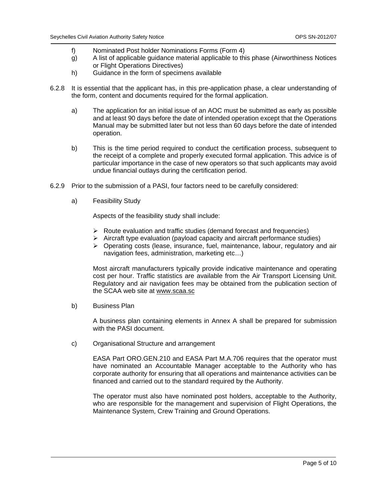- f) Nominated Post holder Nominations Forms (Form 4)
- g) A list of applicable guidance material applicable to this phase (Airworthiness Notices or Flight Operations Directives)
- h) Guidance in the form of specimens available
- 6.2.8 It is essential that the applicant has, in this pre-application phase, a clear understanding of the form, content and documents required for the formal application.
	- a) The application for an initial issue of an AOC must be submitted as early as possible and at least 90 days before the date of intended operation except that the Operations Manual may be submitted later but not less than 60 days before the date of intended operation.
	- b) This is the time period required to conduct the certification process, subsequent to the receipt of a complete and properly executed formal application. This advice is of particular importance in the case of new operators so that such applicants may avoid undue financial outlays during the certification period.
- 6.2.9 Prior to the submission of a PASI, four factors need to be carefully considered:
	- a) Feasibility Study

Aspects of the feasibility study shall include:

- $\triangleright$  Route evaluation and traffic studies (demand forecast and frequencies)
- $\triangleright$  Aircraft type evaluation (payload capacity and aircraft performance studies)
- $\triangleright$  Operating costs (lease, insurance, fuel, maintenance, labour, regulatory and air navigation fees, administration, marketing etc…)

Most aircraft manufacturers typically provide indicative maintenance and operating cost per hour. Traffic statistics are available from the Air Transport Licensing Unit. Regulatory and air navigation fees may be obtained from the publication section of the SCAA web site at www.scaa.sc

b) Business Plan

 A business plan containing elements in Annex A shall be prepared for submission with the PASI document.

c) Organisational Structure and arrangement

l

EASA Part ORO.GEN.210 and EASA Part M.A.706 requires that the operator must have nominated an Accountable Manager acceptable to the Authority who has corporate authority for ensuring that all operations and maintenance activities can be financed and carried out to the standard required by the Authority.

The operator must also have nominated post holders, acceptable to the Authority, who are responsible for the management and supervision of Flight Operations, the Maintenance System, Crew Training and Ground Operations.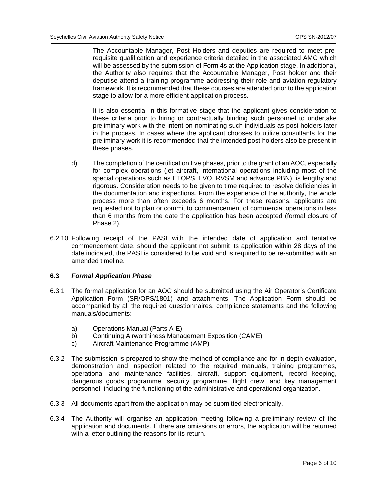The Accountable Manager, Post Holders and deputies are required to meet prerequisite qualification and experience criteria detailed in the associated AMC which will be assessed by the submission of Form 4s at the Application stage. In additional, the Authority also requires that the Accountable Manager, Post holder and their deputise attend a training programme addressing their role and aviation regulatory framework. It is recommended that these courses are attended prior to the application stage to allow for a more efficient application process.

It is also essential in this formative stage that the applicant gives consideration to these criteria prior to hiring or contractually binding such personnel to undertake preliminary work with the intent on nominating such individuals as post holders later in the process. In cases where the applicant chooses to utilize consultants for the preliminary work it is recommended that the intended post holders also be present in these phases.

- d) The completion of the certification five phases, prior to the grant of an AOC, especially for complex operations (jet aircraft, international operations including most of the special operations such as ETOPS, LVO, RVSM and advance PBN), is lengthy and rigorous. Consideration needs to be given to time required to resolve deficiencies in the documentation and inspections. From the experience of the authority, the whole process more than often exceeds 6 months. For these reasons, applicants are requested not to plan or commit to commencement of commercial operations in less than 6 months from the date the application has been accepted (formal closure of Phase 2).
- 6.2.10 Following receipt of the PASI with the intended date of application and tentative commencement date, should the applicant not submit its application within 28 days of the date indicated, the PASI is considered to be void and is required to be re-submitted with an amended timeline.

#### **6.3** *Formal Application Phase*

- 6.3.1 The formal application for an AOC should be submitted using the Air Operator's Certificate Application Form (SR/OPS/1801) and attachments. The Application Form should be accompanied by all the required questionnaires, compliance statements and the following manuals/documents:
	- a) Operations Manual (Parts A-E)

- b) Continuing Airworthiness Management Exposition (CAME)
- c) Aircraft Maintenance Programme (AMP)
- 6.3.2 The submission is prepared to show the method of compliance and for in-depth evaluation, demonstration and inspection related to the required manuals, training programmes, operational and maintenance facilities, aircraft, support equipment, record keeping, dangerous goods programme, security programme, flight crew, and key management personnel, including the functioning of the administrative and operational organization.
- 6.3.3 All documents apart from the application may be submitted electronically.
- 6.3.4 The Authority will organise an application meeting following a preliminary review of the application and documents. If there are omissions or errors, the application will be returned with a letter outlining the reasons for its return.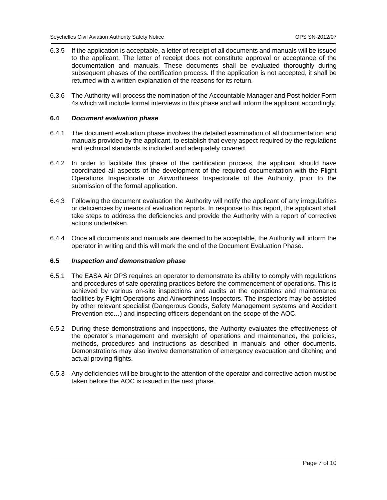- 6.3.5 If the application is acceptable, a letter of receipt of all documents and manuals will be issued to the applicant. The letter of receipt does not constitute approval or acceptance of the documentation and manuals. These documents shall be evaluated thoroughly during subsequent phases of the certification process. If the application is not accepted, it shall be returned with a written explanation of the reasons for its return.
- 6.3.6 The Authority will process the nomination of the Accountable Manager and Post holder Form 4s which will include formal interviews in this phase and will inform the applicant accordingly.

#### **6.4** *Document evaluation phase*

- 6.4.1 The document evaluation phase involves the detailed examination of all documentation and manuals provided by the applicant, to establish that every aspect required by the regulations and technical standards is included and adequately covered.
- 6.4.2 In order to facilitate this phase of the certification process, the applicant should have coordinated all aspects of the development of the required documentation with the Flight Operations Inspectorate or Airworthiness Inspectorate of the Authority, prior to the submission of the formal application.
- 6.4.3 Following the document evaluation the Authority will notify the applicant of any irregularities or deficiencies by means of evaluation reports. In response to this report, the applicant shall take steps to address the deficiencies and provide the Authority with a report of corrective actions undertaken.
- 6.4.4 Once all documents and manuals are deemed to be acceptable, the Authority will inform the operator in writing and this will mark the end of the Document Evaluation Phase.

### **6.5** *Inspection and demonstration phase*

- 6.5.1 The EASA Air OPS requires an operator to demonstrate its ability to comply with regulations and procedures of safe operating practices before the commencement of operations. This is achieved by various on-site inspections and audits at the operations and maintenance facilities by Flight Operations and Airworthiness Inspectors. The inspectors may be assisted by other relevant specialist (Dangerous Goods, Safety Management systems and Accident Prevention etc…) and inspecting officers dependant on the scope of the AOC.
- 6.5.2 During these demonstrations and inspections, the Authority evaluates the effectiveness of the operator's management and oversight of operations and maintenance, the policies, methods, procedures and instructions as described in manuals and other documents. Demonstrations may also involve demonstration of emergency evacuation and ditching and actual proving flights.
- 6.5.3 Any deficiencies will be brought to the attention of the operator and corrective action must be taken before the AOC is issued in the next phase.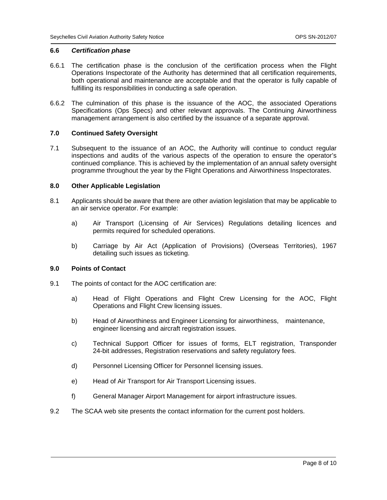### **6.6** *Certification phase*

- 6.6.1 The certification phase is the conclusion of the certification process when the Flight Operations Inspectorate of the Authority has determined that all certification requirements, both operational and maintenance are acceptable and that the operator is fully capable of fulfilling its responsibilities in conducting a safe operation.
- 6.6.2 The culmination of this phase is the issuance of the AOC, the associated Operations Specifications (Ops Specs) and other relevant approvals. The Continuing Airworthiness management arrangement is also certified by the issuance of a separate approval.

## **7.0 Continued Safety Oversight**

7.1 Subsequent to the issuance of an AOC, the Authority will continue to conduct regular inspections and audits of the various aspects of the operation to ensure the operator's continued compliance. This is achieved by the implementation of an annual safety oversight programme throughout the year by the Flight Operations and Airworthiness Inspectorates.

#### **8.0 Other Applicable Legislation**

- 8.1 Applicants should be aware that there are other aviation legislation that may be applicable to an air service operator. For example:
	- a) Air Transport (Licensing of Air Services) Regulations detailing licences and permits required for scheduled operations.
	- b) Carriage by Air Act (Application of Provisions) (Overseas Territories), 1967 detailing such issues as ticketing.

#### **9.0 Points of Contact**

9.1 The points of contact for the AOC certification are:

- a) Head of Flight Operations and Flight Crew Licensing for the AOC, Flight Operations and Flight Crew licensing issues.
- b) Head of Airworthiness and Engineer Licensing for airworthiness, maintenance, engineer licensing and aircraft registration issues.
- c) Technical Support Officer for issues of forms, ELT registration, Transponder 24-bit addresses, Registration reservations and safety regulatory fees.
- d) Personnel Licensing Officer for Personnel licensing issues.
- e) Head of Air Transport for Air Transport Licensing issues.
- f) General Manager Airport Management for airport infrastructure issues.
- 9.2 The SCAA web site presents the contact information for the current post holders.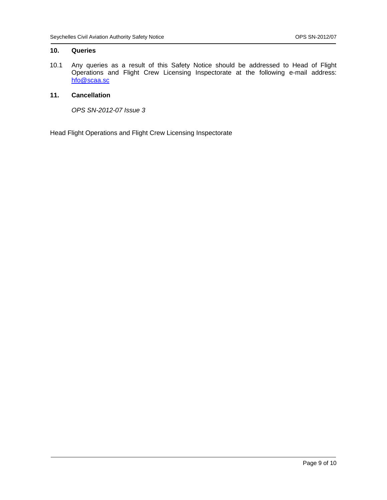## **10. Queries**

10.1 Any queries as a result of this Safety Notice should be addressed to Head of Flight Operations and Flight Crew Licensing Inspectorate at the following e-mail address: hfo@scaa.sc

## **11. Cancellation**

*OPS SN-2012-07 Issue 3* 

Head Flight Operations and Flight Crew Licensing Inspectorate